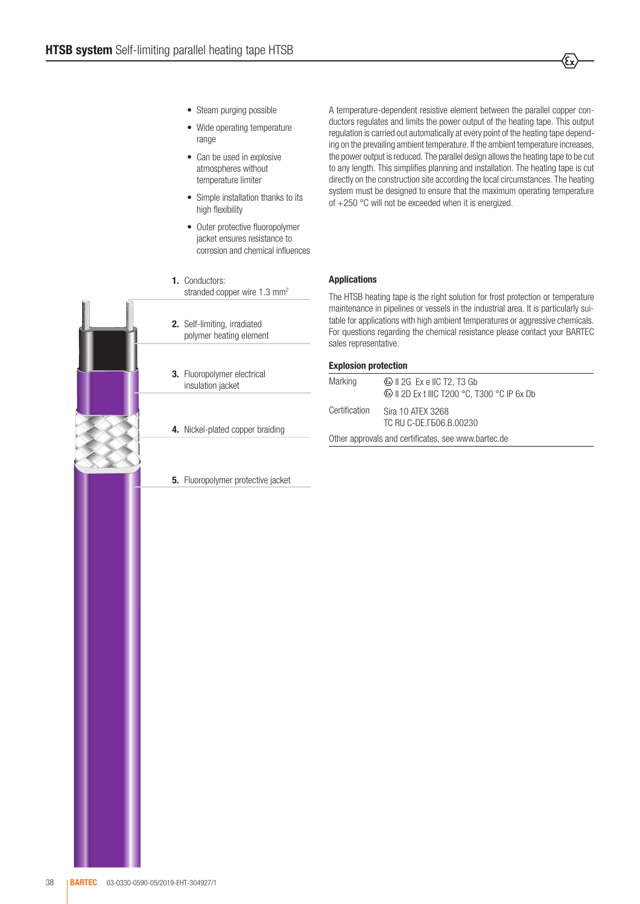- Steam purging possible
- Wide operating temperature range
- Can be used in explosive atmospheres without temperature limiter
- Simple installation thanks to its high flexibility
- Outer protective fluoropolymer jacket ensures resistance to corrosion and chemical influences
- 1. Conductors: stranded copper wire 1.3 mm<sup>2</sup>
- 2. Self-limiting, irradiated polymer heating element
- 3. Fluoropolymer electrical insulation jacket
- 4. Nickel-plated copper braiding

**5.** Fluoropolymer protective jacket

A temperature-dependent resistive element between the parallel copper conductors regulates and limits the power output of the heating tape. This output regulation is carried out automatically at every point of the heating tape depending on the prevailing ambient temperature. If the ambient temperature increases, the power output is reduced. The parallel design allows the heating tape to be cut to any length. This simplifies planning and installation. The heating tape is cut directly on the construction site according the local circumstances. The heating system must be designed to ensure that the maximum operating temperature of +250 °C will not be exceeded when it is energized.

## Applications

The HTSB heating tape is the right solution for frost protection or temperature maintenance in pipelines or vessels in the industrial area. It is particularly suitable for applications with high ambient temperatures or aggressive chemicals. For questions regarding the chemical resistance please contact your BARTEC sales representative.

## Explosion protection

| Marking                                             | $\circ$ II 2G Ex e IIC T2, T3 Gb               |  |  |
|-----------------------------------------------------|------------------------------------------------|--|--|
| Certification                                       | Sira 10 ATEX 3268<br>TC RU C-DE. [506.B.00230] |  |  |
| Other approvals and certificates, see www.bartec.de |                                                |  |  |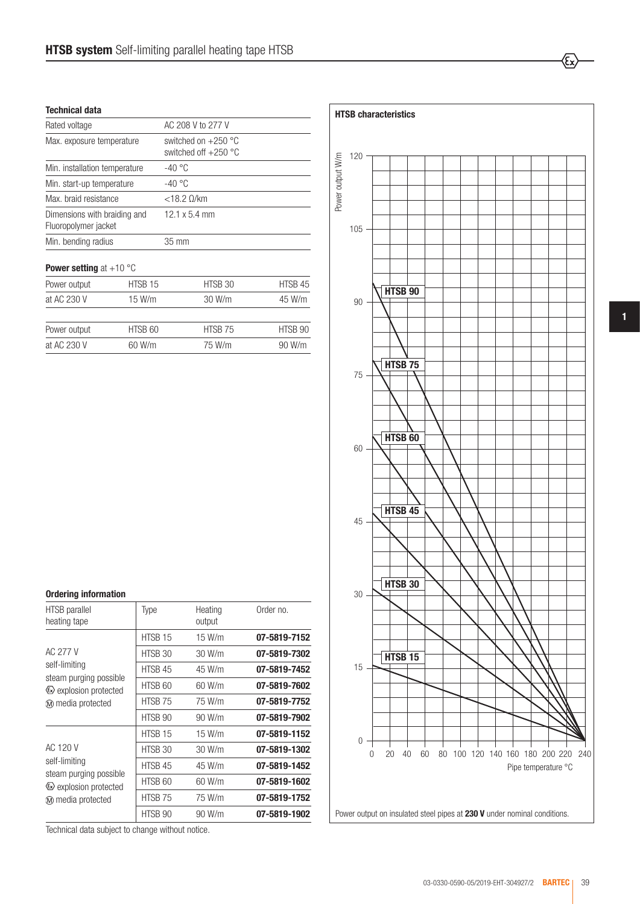## Technical data

| Rated voltage                                        |         | AC 208 V to 277 V                               |         |  |  |
|------------------------------------------------------|---------|-------------------------------------------------|---------|--|--|
| Max. exposure temperature                            |         | switched on $+250$ °C<br>switched off $+250$ °C |         |  |  |
| Min. installation temperature                        |         | $-40 °C$                                        |         |  |  |
| Min. start-up temperature                            |         | $-40 °C$                                        |         |  |  |
| Max. braid resistance                                |         | $<$ 18.2 $0$ /km                                |         |  |  |
| Dimensions with braiding and<br>Fluoropolymer jacket |         | 12.1 x 5.4 mm                                   |         |  |  |
| Min. bending radius                                  |         | 35 mm                                           |         |  |  |
| <b>Power setting</b> at $+10$ °C                     |         |                                                 |         |  |  |
| Power output                                         | HTSB 15 | HTSB 30                                         | HTSB 45 |  |  |
| at AC 230 V                                          | 15 W/m  | 30 W/m                                          | 45 W/m  |  |  |
| Power output                                         | HTSB 60 | HTSB 75                                         | HTSB 90 |  |  |
| at AC 230 V<br>60 W/m                                |         | 75 W/m                                          | 90 W/m  |  |  |

| <b>Ordering information</b>                    |         |                   |              |
|------------------------------------------------|---------|-------------------|--------------|
| HTSB parallel<br>heating tape                  | Type    | Heating<br>output | Order no.    |
|                                                | HTSB 15 | 15 W/m            | 07-5819-7152 |
| AC 277 V                                       | HTSB 30 | 30 W/m            | 07-5819-7302 |
| self-limiting                                  | HTSB 45 | 45 W/m            | 07-5819-7452 |
| steam purging possible<br>Explosion protected  | HTSB 60 | 60 W/m            | 07-5819-7602 |
| M media protected                              | HTSB 75 | 75 W/m            | 07-5819-7752 |
|                                                | HTSB 90 | 90 W/m            | 07-5819-7902 |
|                                                | HTSB 15 | 15 W/m            | 07-5819-1152 |
| AC 120 V                                       | HTSB 30 | 30 W/m            | 07-5819-1302 |
| self-limiting                                  | HTSB 45 | 45 W/m            | 07-5819-1452 |
| steam purging possible<br>Lexplosion protected | HTSB 60 | 60 W/m            | 07-5819-1602 |
| M media protected                              | HTSB 75 | 75 W/m            | 07-5819-1752 |
|                                                | HTSB 90 | 90 W/m            | 07-5819-1902 |

Power output 120 105 90 75 60 45 30 15 0 0 20 40 60 80 100 120 140 160 180 200 220 240 HTSB 90 HTSB<sub>15</sub> HTSB 30 HTSB<sub>60</sub> HTSB<sub>75</sub> HTSB<sub>45</sub> Power output on instalated steel pipes at 230 V under nominal conditions.<br>
Power output on instalated steel pipes at 230 V under nominal conditions.<br>
Power output on instalated steel pipes at 230 V under nominal condition Pipe temperature °C

HTSB characteristics

⁄εx

1

Technical data subject to change without notice.